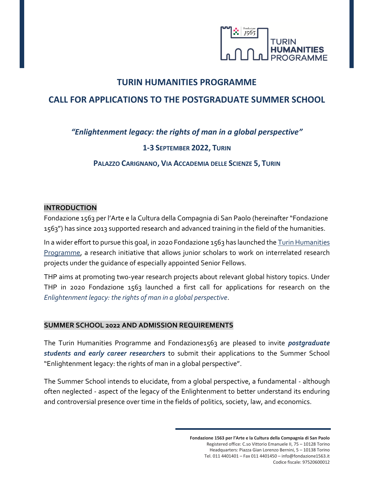

## **TURIN HUMANITIES PROGRAMME**

# **CALL FOR APPLICATIONS TO THE POSTGRADUATE SUMMER SCHOOL**

## *"Enlightenment legacy: the rights of man in a global perspective"*

### **1-3 SEPTEMBER 2022, TURIN**

**PALAZZO CARIGNANO, VIA ACCADEMIA DELLE SCIENZE 5, TURIN**

### **INTRODUCTION**

Fondazione 1563 per l'Arte e la Cultura della Compagnia di San Paolo (hereinafter "Fondazione 1563") has since 2013 supported research and advanced training in the field of the humanities.

In a wider effort to pursue this goal, in 2020 Fondazione 1563 has launched th[e Turin Humanities](https://www.fondazione1563.it/ricerca/en-turin-humanities-programme/)  [Programme,](https://www.fondazione1563.it/ricerca/en-turin-humanities-programme/) a research initiative that allows junior scholars to work on interrelated research projects under the guidance of especially appointed Senior Fellows.

THP aims at promoting two-year research projects about relevant global history topics. Under THP in 2020 Fondazione 1563 launched a first call for applications for research on the *Enlightenment legacy: the rights of man in a global perspective*.

#### **SUMMER SCHOOL 2022 AND ADMISSION REQUIREMENTS**

The Turin Humanities Programme and Fondazione1563 are pleased to invite *postgraduate students and early career researchers* to submit their applications to the Summer School "Enlightenment legacy: the rights of man in a global perspective".

The Summer School intends to elucidate, from a global perspective, a fundamental - although often neglected - aspect of the legacy of the Enlightenment to better understand its enduring and controversial presence over time in the fields of politics, society, law, and economics.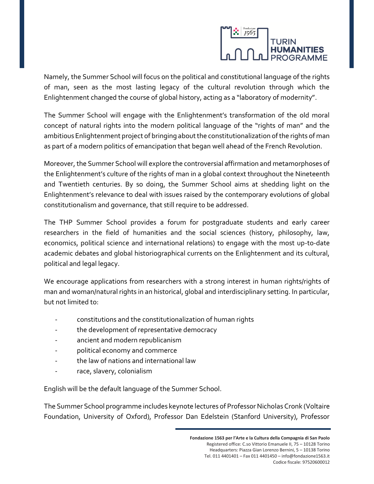

Namely, the Summer School will focus on the political and constitutional language of the rights of man, seen as the most lasting legacy of the cultural revolution through which the Enlightenment changed the course of global history, acting as a "laboratory of modernity".

The Summer School will engage with the Enlightenment's transformation of the old moral concept of natural rights into the modern political language of the "rights of man" and the ambitious Enlightenment project of bringing about the constitutionalization of the rights of man as part of a modern politics of emancipation that began well ahead of the French Revolution.

Moreover, the Summer School will explore the controversial affirmation and metamorphoses of the Enlightenment's culture of the rights of man in a global context throughout the Nineteenth and Twentieth centuries. By so doing, the Summer School aims at shedding light on the Enlightenment's relevance to deal with issues raised by the contemporary evolutions of global constitutionalism and governance, that still require to be addressed.

The THP Summer School provides a forum for postgraduate students and early career researchers in the field of humanities and the social sciences (history, philosophy, law, economics, political science and international relations) to engage with the most up-to-date academic debates and global historiographical currents on the Enlightenment and its cultural, political and legal legacy.

We encourage applications from researchers with a strong interest in human rights/rights of man and woman/natural rights in an historical, global and interdisciplinary setting. In particular, but not limited to:

- constitutions and the constitutionalization of human rights
- the development of representative democracy
- ancient and modern republicanism
- political economy and commerce
- the law of nations and international law
- race, slavery, colonialism

English will be the default language of the Summer School.

The Summer School programme includes keynote lectures of Professor Nicholas Cronk (Voltaire Foundation, University of Oxford), Professor Dan Edelstein (Stanford University), Professor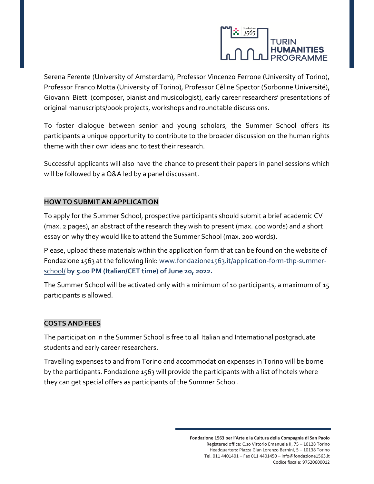

Serena Ferente (University of Amsterdam), Professor Vincenzo Ferrone (University of Torino), Professor Franco Motta (University of Torino), Professor Céline Spector (Sorbonne Université), Giovanni Bietti (composer, pianist and musicologist), early career researchers' presentations of original manuscripts/book projects, workshops and roundtable discussions.

To foster dialogue between senior and young scholars, the Summer School offers its participants a unique opportunity to contribute to the broader discussion on the human rights theme with their own ideas and to test their research.

Successful applicants will also have the chance to present their papers in panel sessions which will be followed by a Q&A led by a panel discussant.

### **HOW TO SUBMIT AN APPLICATION**

To apply for the Summer School, prospective participants should submit a brief academic CV (max. 2 pages), an abstract of the research they wish to present (max. 400 words) and a short essay on why they would like to attend the Summer School (max. 200 words).

Please, upload these materials within the application form that can be found on the website of Fondazione 1563 at the following link: [www.fondazione1563.it/application-form-thp-summer](https://www.fondazione1563.it/application-form-thp-summer-school/)[school/](https://www.fondazione1563.it/application-form-thp-summer-school/) **by 5.00 PM (Italian/CET time) of June 20, 2022.** 

The Summer School will be activated only with a minimum of 10 participants, a maximum of 15 participants is allowed.

#### **COSTS AND FEES**

The participation in the Summer School is free to all Italian and International postgraduate students and early career researchers.

Travelling expenses to and from Torino and accommodation expenses in Torino will be borne by the participants. Fondazione 1563 will provide the participants with a list of hotels where they can get special offers as participants of the Summer School.